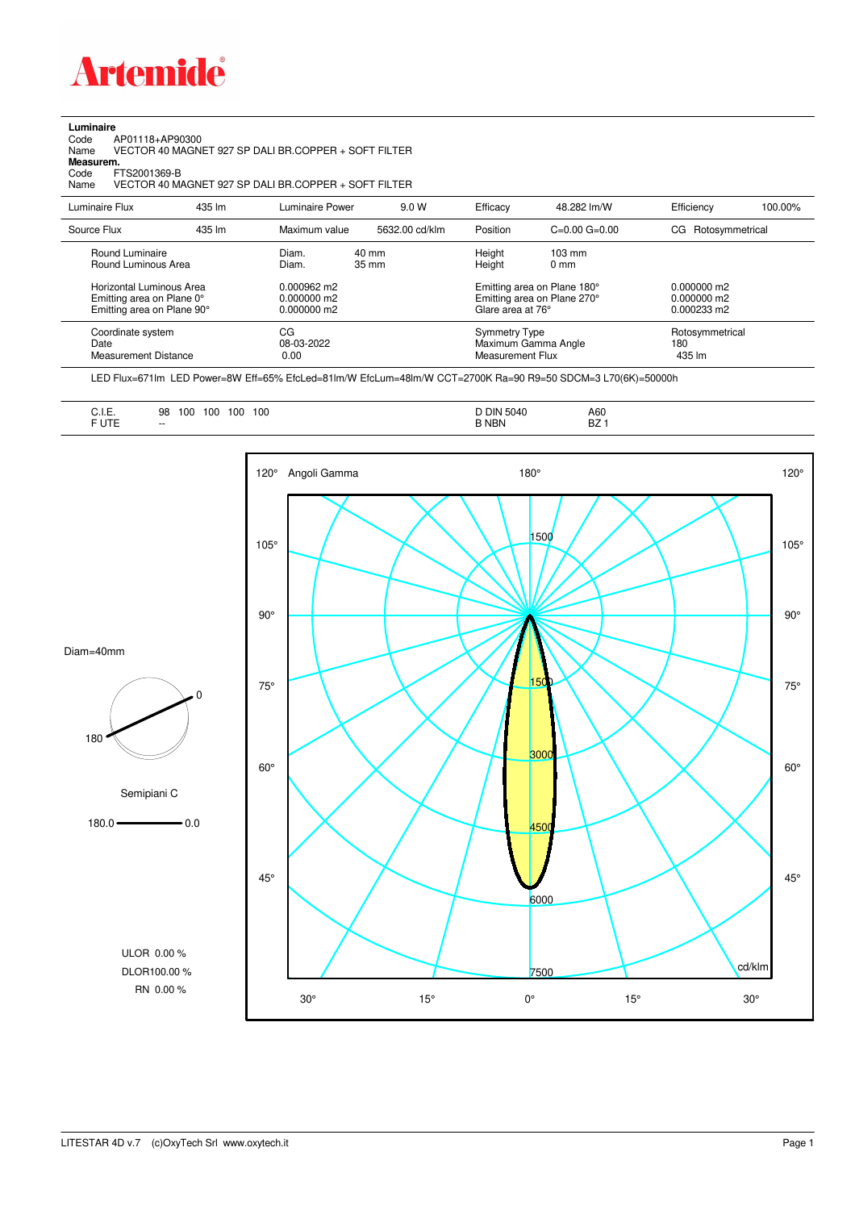

## **Luminaire**<br>Code<br>Name

Code AP01118+AP90300 Name VECTOR 40 MAGNET 927 SP DALI BR.COPPER + SOFT FILTER

**Measurem.**

Code FTS2001369-B<br>Name VECTOR 40 M/ Name VECTOR 40 MAGNET 927 SP DALI BR.COPPER + SOFT FILTER

| Luminaire Flux                                                                                                                | 435 lm | Luminaire Power                                                          | 9.0 W                              | Efficacy                                 | 48.282 lm/W                                                                                                                               | Efficiency                       | 100.00% |
|-------------------------------------------------------------------------------------------------------------------------------|--------|--------------------------------------------------------------------------|------------------------------------|------------------------------------------|-------------------------------------------------------------------------------------------------------------------------------------------|----------------------------------|---------|
| Source Flux                                                                                                                   | 435 lm | Maximum value                                                            | 5632.00 cd/klm                     | Position                                 | $C=0.00$ $G=0.00$                                                                                                                         | Rotosymmetrical<br>CG            |         |
| Round Luminaire<br>Round Luminous Area<br>Horizontal Luminous Area<br>Emitting area on Plane 0°<br>Emitting area on Plane 90° |        | Diam.<br>Diam.<br>$0.000962 \text{ m}$<br>$0.000000$ m2<br>$0.000000$ m2 | $40 \text{ mm}$<br>$35 \text{ mm}$ |                                          | Height<br>$103 \text{ mm}$<br>Height<br>$0 \text{ mm}$<br>Emitting area on Plane 180°<br>Emitting area on Plane 270°<br>Glare area at 76° |                                  |         |
| Coordinate system<br>Date<br><b>Measurement Distance</b>                                                                      |        | CG<br>08-03-2022<br>0.00                                                 |                                    | <b>Symmetry Type</b><br>Measurement Flux | Maximum Gamma Angle                                                                                                                       | Rotosymmetrical<br>180<br>435 lm |         |

LED Flux=671lm LED Power=8W Eff=65% EfcLed=81lm/W EfcLum=48lm/W CCT=2700K Ra=90 R9=50 SDCM=3 L70(6K)=50000h